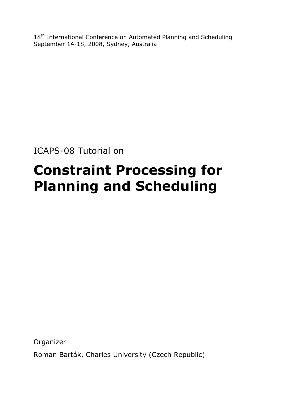18<sup>th</sup> International Conference on Automated Planning and Scheduling September 14-18, 2008, Sydney, Australia

ICAPS-08 Tutorial on

# **Constraint Processing for Planning and Scheduling**

Organizer

Roman Barták, Charles University (Czech Republic)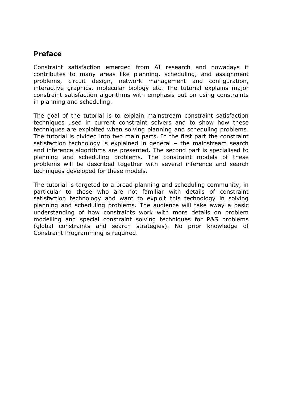# **Preface**

Constraint satisfaction emerged from AI research and nowadays it contributes to many areas like planning, scheduling, and assignment problems, circuit design, network management and configuration, interactive graphics, molecular biology etc. The tutorial explains major constraint satisfaction algorithms with emphasis put on using constraints in planning and scheduling.

The goal of the tutorial is to explain mainstream constraint satisfaction techniques used in current constraint solvers and to show how these techniques are exploited when solving planning and scheduling problems. The tutorial is divided into two main parts. In the first part the constraint satisfaction technology is explained in general – the mainstream search and inference algorithms are presented. The second part is specialised to planning and scheduling problems. The constraint models of these problems will be described together with several inference and search techniques developed for these models.

The tutorial is targeted to a broad planning and scheduling community, in particular to those who are not familiar with details of constraint satisfaction technology and want to exploit this technology in solving planning and scheduling problems. The audience will take away a basic understanding of how constraints work with more details on problem modelling and special constraint solving techniques for P&S problems (global constraints and search strategies). No prior knowledge of Constraint Programming is required.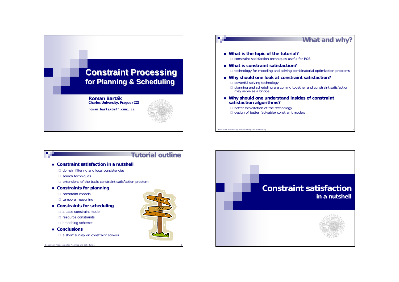



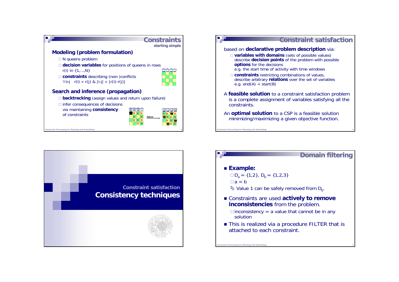





# **Domain filtering**

### **Example:**

**traint Processing for Planning and Scheduling** 

 $\square D_{a} = \{1,2\}, D_{b} = \{1,2,3\}$  $a < b$  $\&$  Value 1 can be safely removed from  $D_{b}$ .

- Constraints are used **actively to remove inconsistencies** from the problem.
	- $\Box$ inconsistency = a value that cannot be in any solution
- This is realized via a procedure FILTER that is attached to each constraint.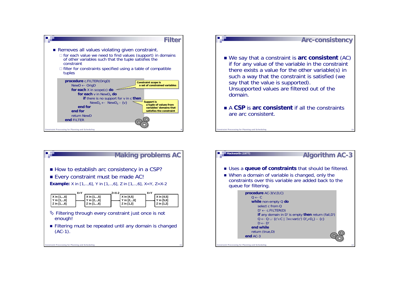





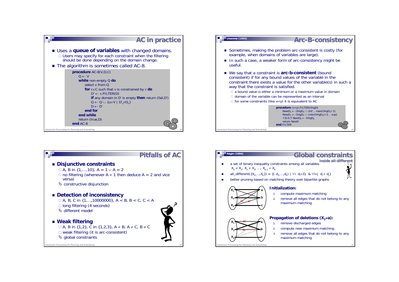





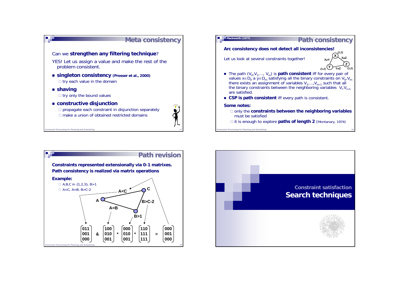



**Mackworth (1977)**



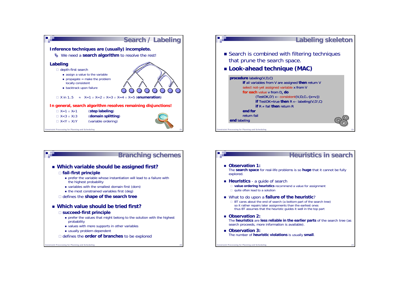





## **Heuristics in search**

- **Observation 1:** The **search space** for real-life problems is so **huge** that it cannot be fully explored.
- **Heuristics** a guide of search

□ **value ordering heuristics** recommend a value for assignment □ quite often lead to a solution

What to do upon a **failure of the heuristic**?

□ BT cares about the end of search (a bottom part of the search tree) so it rather repairs later assignments than the earliest ones thus BT assumes that the heuristic guides it well in the top part

- **Observation 2:** The **heuristics** are **less reliable in the earlier parts** of the search tree (as search proceeds, more information is available).
- **Observation 3:** The number of **heuristic violations** is usually **small**.

**Straint Processing for Planning and Scheduling**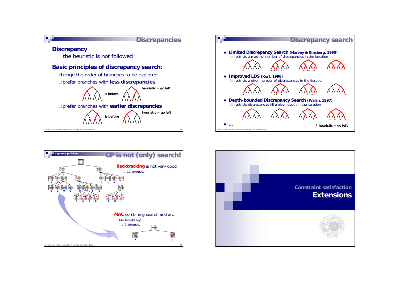





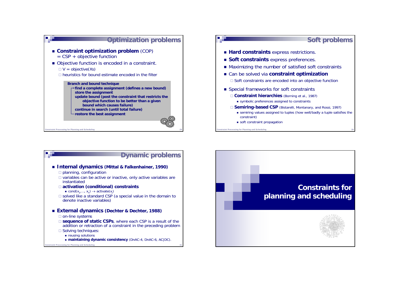





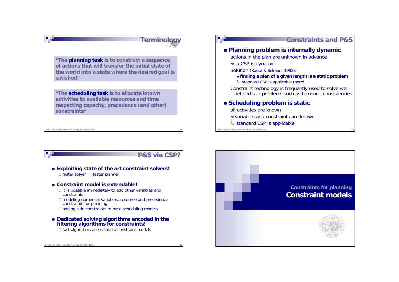





**Istraint Processing for Planning and Scheduling** 

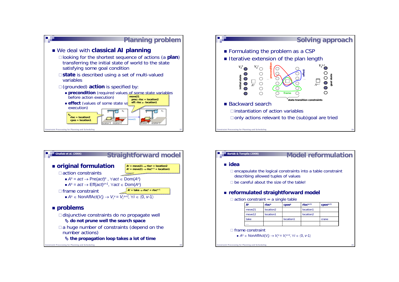







#### **idea**

□ encapsulate the logical constraints into a table constraint describing allowed tuples of values

□ be careful about the size of the table!

### **reformulated straightforward model**

#### $\square$  action constraint = a single table

| As                 | rlocs                 | cposs     | $rloc^{s+1}$          | $Cpos^{s+1}$ |
|--------------------|-----------------------|-----------|-----------------------|--------------|
| move21             | location <sub>2</sub> |           | location1             |              |
| move <sub>12</sub> | location1             |           | location <sub>2</sub> |              |
| take               |                       | location1 |                       | crane        |
|                    |                       |           |                       |              |

□ frame constraint

*As* <sup>∈</sup> NonAffAct(*Vi*) <sup>→</sup> *Vi*<sup>s</sup> <sup>=</sup> *Vi*s+1 , ∀*i* <sup>∈</sup> 〈0, *v-*1〉

**Traint Processing for Planning and Scheduling**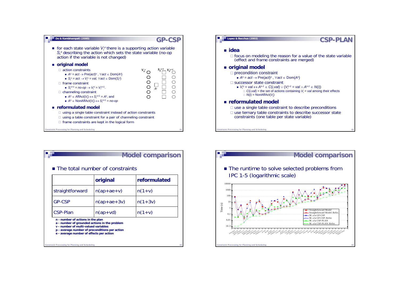



|                 | original      | reformulated |
|-----------------|---------------|--------------|
| straightforward | $n(ap+ae+v)$  | $n(1 + v)$   |
| <b>GP-CSP</b>   | $n(ap+ae+3v)$ | $n(1+3v)$    |
| <b>CSP-Plan</b> | $n(ap+vd)$    | $n(1 + v)$   |

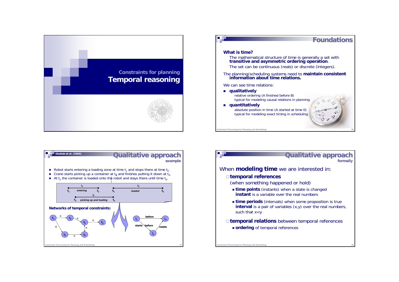





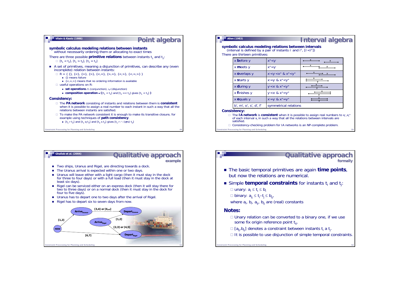

#### **Allen (1983)**  п

# **Interval algebra Interval algebra**

**symbolic calculus modeling relations between intervals** (interval is defined by a pair of instants i- and i+, [i-<i+]) There are thirteen primitives:

| x before y             | $X^+$ < $Y^-$                             |  |
|------------------------|-------------------------------------------|--|
| $x$ meets $y$          | $X^+ = Y^-$                               |  |
| x overlaps y           | $X^{-} < Y^{-} < X^{+}$ & $X^{+} < Y^{+}$ |  |
| x starts y             | $X = Y^8$ $X^+ < Y^+$                     |  |
| x during y             | $y < x^8$ $x^+ < y^+$                     |  |
| x finishes y           | $y - x^2 - 8x + y^2 = y^+$                |  |
| x equals y             | $X = Y^8$ & $X^+ = Y^+$                   |  |
| b', m', o', s', d', f' | symmetrical relations                     |  |

#### **Consistency:**

□ The **IA network** is **consistent** when it is possible to assign real numbers to x<sub>i</sub>·,x<sub>i</sub>+ of each interval x<sub>i</sub> in such a way that all the relations between intervals are of each interval  $x_i$  in such a way that all the relations between intervals are satisfied.

```
□ Consistency-checking problem for IA networks is an NP-complete problem.
```
aint Processing for Planning and Scheduling



# **Qualitative approach**

**formally**

- The basic temporal primitives are again **time points**, but now the relations are numerical.
- $\blacksquare$  Simple  $\sf temporal$  constraints for instants  $\sf t_i$  and  $\sf t_j$ :
	- $□$  unary:  $a_i ≤ t_i ≤ b_i$
	- ⊟ binary: a<sub>ij</sub> ≤ t<sub>i</sub>–t<sub>j</sub> ≤ b<sub>ij</sub>,
	- where  $a_{i}$ ,  $b_{i}$ ,  $a_{ii}$ ,  $b_{ii}$  are (real) constants

### **Notes:**

- □ Unary relation can be converted to a binary one, if we use some fix origin reference point  $t_0$ .
- $\square$  [a<sub>ij</sub>,b<sub>ij</sub>] denotes a constraint between instants t<sub>i</sub> a t<sub>j</sub>.
- $\Box$  It is possible to use disjunction of simple temporal constraints.

**Constraint Processing for Planning and Scheduling**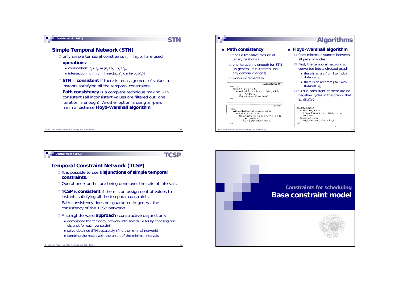

#### **Dechter et al. (1991)**

**TCSP**

#### **Temporal Constraint Network (TCSP)**

- It is possible to use **disjunctions of simple temporal constraints**.
- Operations and <sup>∩</sup> are being done over the sets of intervals.
- **TCSP** is **consistent** if there is an assignment of values to instants satisfying all the temporal constraints.
- Path consistency does not guarantee in general the consistency of the TCSP network!
- A straightforward **approach** (constructive disjunction):
	- decompose the temporal network into several STNs by choosing one disjunct for each constraint
	- solve obtained STN separately (find the minimal network)
	- combine the result with the union of the minimal intervals

nstraint Processing for Planning and Scheduling



**Algorithms Algorithms**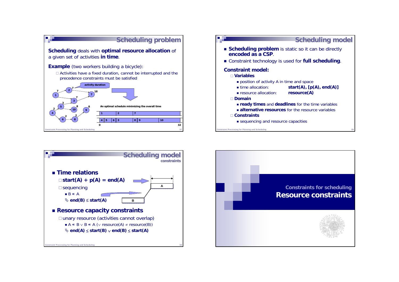





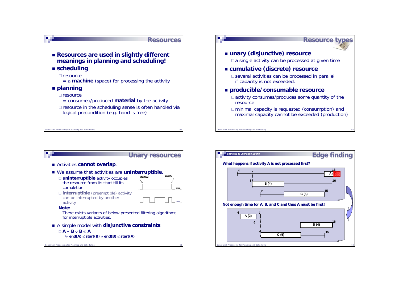



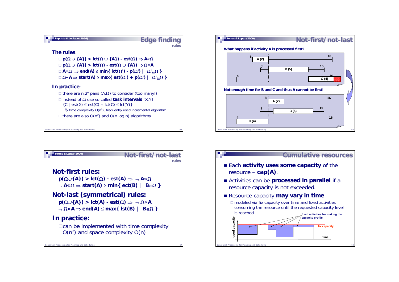





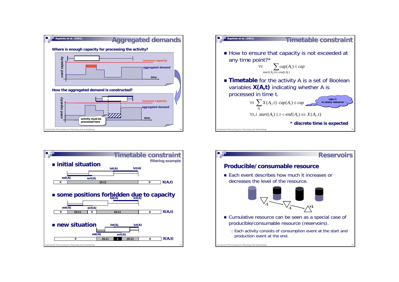





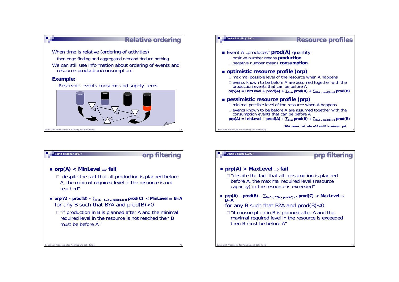



 **orp(A) < MinLevel** <sup>⇒</sup> **fail Cesta & Stella (1997)**

**nstraint Processing for Planning and Scheduling** 

 $\Box$  "despite the fact that all production is planned before A, the minimal required level in the resource is not reached"

**orp filtering**

- **orp(A) – prod(B) –** ∑**B«C** <sup>∧</sup> **C?A** <sup>∧</sup> **prod(C)>0 prod(C) < MinLevel** <sup>⇒</sup> **B«A** for any B such that B?A and  $prod(B) > 0$ 
	- $\Box$ "if production in B is planned after A and the minimal required level in the resource is not reached then B must be before A"

### **Cesta & Stella (1997)**

**Constraint Processing for Planning and Scheduling** 

# **prp filtering**

## **prp(A) > MaxLevel** <sup>⇒</sup> **fail**

 $\Box$ " despite the fact that all consumption is planned before A, the maximal required level (resource capacity) in the resource is exceeded"

- **prp(A) – prod(B) –** ∑**B«C** <sup>∧</sup> **C?A** <sup>∧</sup> **prod(C)<0 prod(C) > MaxLevel** <sup>⇒</sup> **B«A**
	- for any B such that B?A and  $prod(B) < 0$
	- $\Box$ "if consumption in B is planned after A and the maximal required level in the resource is exceeded then B must be before A"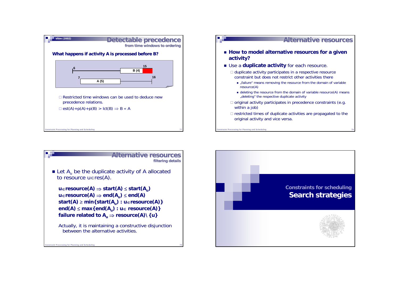





**Instraint Processing for Planning and Scheduling**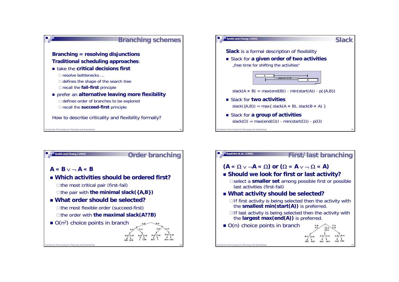





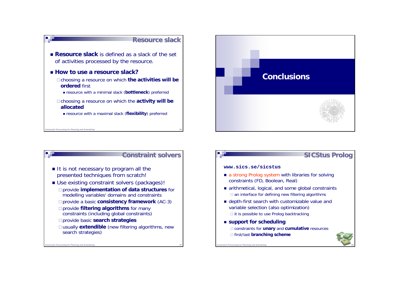





# **SICStus SICStus Prolog**

#### **www.sics.se/sicstus**

- a strong Prolog system with libraries for solving constraints (FD, Boolean, Real)
- arithmetical, logical, and some global constraints □ an interface for defining new filtering algorithms
- depth-first search with customizable value and variable selection (also optimization)  $\Box$  it is possible to use Prolog backtracking
- **support for scheduling** constraints for **unary** and **cumulative** resources first/last **branching scheme**

raint Processing for Planning and Scheduling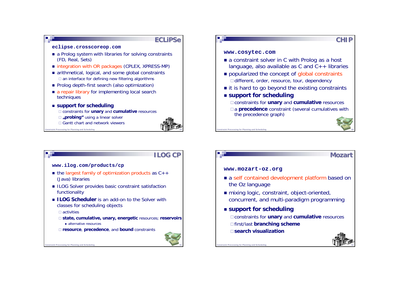

# **Instraint Processing for Planning and Schedulin ILOG CPwww.ilog.com/products/cp** ■ the largest family of optimization products as C++ (Java) libraries ■ ILOG Solver provides basic constraint satisfaction functionality **ILOG Scheduler** is an add-on to the Solver with classes for scheduling objects activities **state, cumulative, unary, energetic** resources; **reservoirs** ■ alternative resources **resource**, **precedence**, and **bound** constraints

# int Processing for Planning and Sch **CHIPwww.cosytec.com** ■ a constraint solver in C with Prolog as a host language, also available as C and  $C_{++}$  libraries **popularized the concept of global constraints** □ different, order, resource, tour, dependency ■ it is hard to go beyond the existing constraints **support for scheduling** constraints for **unary** and **cumulative** resources □a **precedence** constraint (several cumulatives with the precedence graph)

# **Constraint Processing for Planning and Scheduling www.mozart-oz.org** the Oz language ■ mixing logic, constraint, object-oriented, concurrent, and multi-paradigm programming **support for scheduling** constraints for **unary** and **cumulative** resources first/last **branching scheme search visualization**

### **Mozart**

**a** self contained development platform based on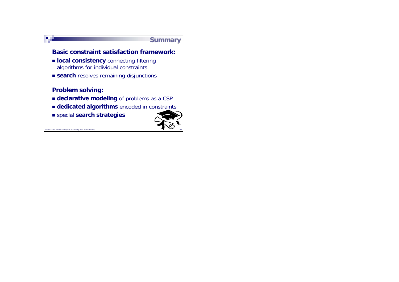



**nstraint Processing for Planning and Scheduling**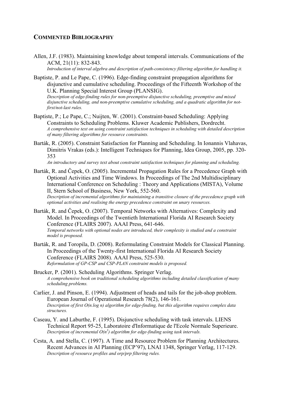# **COMMENTED BIBLIOGRAPHY**

Allen, J.F. (1983). Maintaining knowledge about temporal intervals. Communications of the ACM, 21(11): 832-843.

*Introduction of interval algebra and description of path-consistency filtering algorithm for handling it.* 

- Baptiste, P. and Le Pape, C. (1996). Edge-finding constraint propagation algorithms for disjunctive and cumulative scheduling. Proceedings of the Fifteenth Workshop of the U.K. Planning Special Interest Group (PLANSIG). *Description of edge-finding rules for non-preemptive disjunctive scheduling, preemptive and mixed disjunctive scheduling, and non-preemptive cumulative scheduling, and a quadratic algorithm for notfirst/not-last rules.*
- Baptiste, P.; Le Pape, C.; Nuijten, W. (2001). Constraint-based Scheduling: Applying Constraints to Scheduling Problems. Kluwer Academic Publishers, Dordrecht. *A comprehensive text on using constraint satisfaction techniques in scheduling with detailed description of many filtering algorithms for resource constraints.*
- Barták, R. (2005). Constraint Satisfaction for Planning and Scheduling. In Ionannis Vlahavas, Dimitris Vrakas (eds.): Intelligent Techniques for Planning, Idea Group, 2005, pp. 320- 353

*An introductory and survey text about constraint satisfaction techniques for planning and scheduling.* 

Barták, R. and Čepek, O. (2005). Incremental Propagation Rules for a Precedence Graph with Optional Activities and Time Windows. In Proceedings of The 2nd Multidisciplinary International Conference on Scheduling : Theory and Applications (MISTA), Volume II, Stern School of Business, New York, 552-560. *Description of incremental algorithms for maintaining a transitive closure of the precedence graph with* 

*optional activities and realising the energy precedence constraint on unary resources.* 

- Barták, R. and Čepek, O. (2007). Temporal Networks with Alternatives: Complexity and Model. In Proceedings of the Twentieth International Florida AI Research Society Conference (FLAIRS 2007). AAAI Press, 641-646. *Temporal networks with optional nodes are introduced, their complexity is studied and a constraint model is proposed.*
- Barták, R. and Toropila, D. (2008). Reformulating Constraint Models for Classical Planning. In Proceedings of the Twenty-first International Florida AI Research Society Conference (FLAIRS 2008). AAAI Press, 525-530. *Reformulation of GP-CSP and CSP-PLAN constraint models is proposed.*
- Brucker, P. (2001). Scheduling Algorithms. Springer Verlag. *A comprehensive book on traditional scheduling algorithms including detailed classification of many scheduling problems.*
- Carlier, J. and Pinson, E. (1994). Adjustment of heads and tails for the job-shop problem. European Journal of Operational Research 78(2), 146-161. *Description of first O(n.log n) algorithm for edge-finding, but this algorithm requires complex data structures.*
- Caseau, Y. and Laburthe, F. (1995). Disjunctive scheduling with task intervals. LIENS Technical Report 95-25, Laboratoire d'Informatique de l'Ecole Normale Superieure. *Description of incremental O(n<sup>3</sup> ) algorithm for edge-finding using task intervals.*
- Cesta, A. and Stella, C. (1997). A Time and Resource Problem for Planning Architectures. Recent Advances in AI Planning (ECP'97), LNAI 1348, Springer Verlag, 117-129. *Description of resource profiles and orp/prp filtering rules.*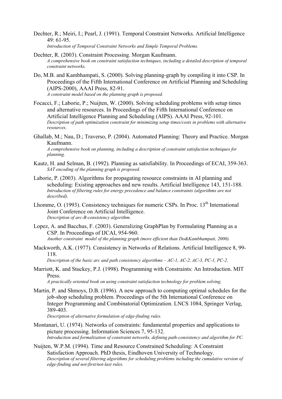- Dechter, R.; Meiri, I.; Pearl, J. (1991). Temporal Constraint Networks. Artificial Intelligence  $49.61 - 95$ *Introduction of Temporal Constraint Networks and Simple Temporal Problems.*
- Dechter, R. (2003). Constraint Processing. Morgan Kaufmann. *A comprehensive book on constraint satisfaction techniques, including a detailed description of temporal constraint networks.*
- Do, M.B. and Kambhampati, S. (2000). Solving planning-graph by compiling it into CSP. In Proceedings of the Fifth International Conference on Artificial Planning and Scheduling (AIPS-2000), AAAI Press, 82-91. *A constraint model based on the planning graph is proposed.*
- Focacci, F.; Laborie, P.; Nuijten, W. (2000). Solving scheduling problems with setup times and alternative resources. In Proceedings of the Fifth International Conference on Artificial Intelligence Planning and Scheduling (AIPS). AAAI Press, 92-101. *Description of path optimization constraint for minimizing setup times/costs in problems with alternative resources.*
- Ghallab, M.; Nau, D.; Traverso, P. (2004). Automated Planning: Theory and Practice. Morgan Kaufmann.

*A comprehensive book on planning, including a description of constraint satisfaction techniques for planning.* 

- Kautz, H. and Selman, B. (1992). Planning as satisfiability. In Proceedings of ECAI, 359-363. *SAT encoding of the planning graph is proposed.*
- Laborie, P. (2003). Algorithms for propagating resource constraints in AI planning and scheduling: Existing approaches and new results. Artificial Intelligence 143, 151-188. *Introduction of filtering rules for energy precedence and balance constraints (algorithms are not described).*
- Lhomme, O. (1993). Consistency techniques for numeric CSPs. In Proc. 13<sup>th</sup> International Joint Conference on Artificial Intelligence. *Description of arc-B-consistency algorithm.*
- Lopez, A. and Bacchus, F. (2003). Generalizing GraphPlan by Formulating Planning as a CSP. In Proceedings of IJCAI, 954-960. *Another constraint model of the planning graph (more efficient than Do&Kambhampati, 2000).*
- Mackworth, A.K. (1977). Consistency in Networks of Relations. Artificial Intelligence 8, 99- 118.

*Description of the basic arc and path consistency algorithms – AC-1, AC-2, AC-3, PC-1, PC-2.* 

Marriott, K. and Stuckey, P.J. (1998). Programming with Constraints: An Introduction. MIT Press.

*A practically oriented book on using constraint satisfaction technology for problem solving.* 

Martin, P. and Shmoys, D.B. (1996). A new approach to computing optimal schedules for the job-shop scheduling problem. Proceedings of the 5th International Conference on Integer Programming and Combinatorial Optimization. LNCS 1084, Springer Verlag, 389-403.

*Description of alternative formulation of edge-finding rules.* 

- Montanari, U. (1974). Networks of constraints: fundamental properties and applications to picture processing. Information Sciences 7, 95-132. *Introduction and formalization of constraint networks, defining path-consistency and algorithm for PC.*
- Nuijten, W.P.M. (1994). Time and Resource Constrained Scheduling: A Constraint Satisfaction Approach. PhD thesis, Eindhoven University of Technology. *Description of several filtering algorithms for scheduling problems including the cumulative version of edge-finding and not-first/not-last rules.*